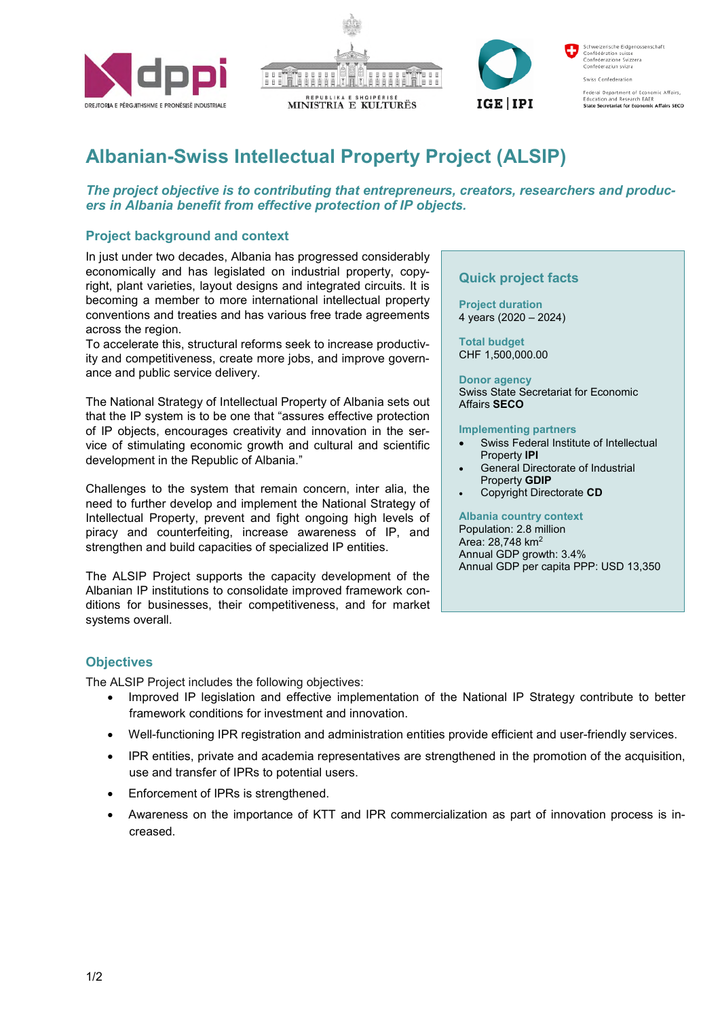





Schweizerische Eidgenossenschaft<br>Confédération suisse<br>Confederazione Svizzera Confederaziun svizra

Swiss Confederation

Federal Department of Economic Affairs,<br>Education and Research EAER<br>**State Secretariat for Economic Affairs SECO** 

# **Albanian-Swiss Intellectual Property Project (ALSIP)**

*The project objective is to contributing that entrepreneurs, creators, researchers and producers in Albania benefit from effective protection of IP objects.*

## **Project background and context**

In just under two decades, Albania has progressed considerably economically and has legislated on industrial property, copyright, plant varieties, layout designs and integrated circuits. It is becoming a member to more international intellectual property conventions and treaties and has various free trade agreements across the region.

To accelerate this, structural reforms seek to increase productivity and competitiveness, create more jobs, and improve governance and public service delivery.

The National Strategy of Intellectual Property of Albania sets out that the IP system is to be one that "assures effective protection of IP objects, encourages creativity and innovation in the service of stimulating economic growth and cultural and scientific development in the Republic of Albania."

Challenges to the system that remain concern, inter alia, the need to further develop and implement the National Strategy of Intellectual Property, prevent and fight ongoing high levels of piracy and counterfeiting, increase awareness of IP, and strengthen and build capacities of specialized IP entities.

The ALSIP Project supports the capacity development of the Albanian IP institutions to consolidate improved framework conditions for businesses, their competitiveness, and for market systems overall.

## **Quick project facts**

**Project duration**  4 years (2020 – 2024)

**Total budget**  CHF 1,500,000.00

**Donor agency**  Swiss State Secretariat for Economic Affairs **SECO**

#### **Implementing partners**

- Swiss Federal Institute of Intellectual Property **IPI**
- General Directorate of Industrial Property **GDIP**
- Copyright Directorate **CD**

### **Albania country context**

Population: 2.8 million Area: 28,748 km<sup>2</sup> Annual GDP growth: 3.4% Annual GDP per capita PPP: USD 13,350

## **Objectives**

The ALSIP Project includes the following objectives:

- Improved IP legislation and effective implementation of the National IP Strategy contribute to better framework conditions for investment and innovation.
- Well-functioning IPR registration and administration entities provide efficient and user-friendly services.
- IPR entities, private and academia representatives are strengthened in the promotion of the acquisition, use and transfer of IPRs to potential users.
- Enforcement of IPRs is strengthened.
- Awareness on the importance of KTT and IPR commercialization as part of innovation process is increased.